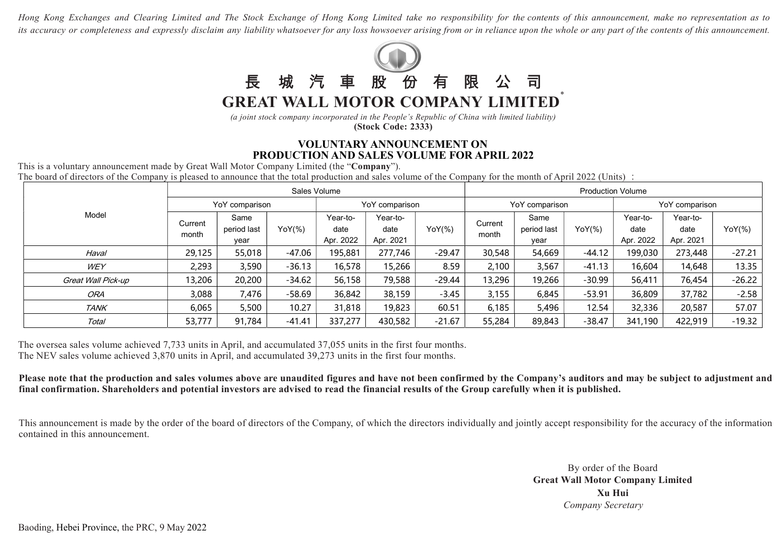Hong Kong Exchanges and Clearing Limited and The Stock Exchange of Hong Kong Limited take no responsibility for the contents of this announcement, make no representation as to its accuracy or completeness and expressly disclaim any liability whatsoever for any loss howsoever arising from or in reliance upon the whole or any part of the contents of this announcement.



(a joint stock company incorporated in the People's Republic of China with limited liability) (Stock Code: 2333)

## VOLUNTARY ANNOUNCEMENT ON PRODUCTION AND SALES VOLUME FOR APRIL 2022

This is a voluntary announcement made by Great Wall Motor Company Limited (the "Company"). The board of directors of the Company is pleased to announce that the total production and sales volume of the Company for the month of April 2022 (Units) :

| Model              | Sales Volume     |                             |          |                               |                               |                   | <b>Production Volume</b> |                             |             |                               |                               |             |
|--------------------|------------------|-----------------------------|----------|-------------------------------|-------------------------------|-------------------|--------------------------|-----------------------------|-------------|-------------------------------|-------------------------------|-------------|
|                    | YoY comparison   |                             |          | YoY comparison                |                               |                   | YoY comparison           |                             |             | YoY comparison                |                               |             |
|                    | Current<br>month | Same<br>period last<br>vear | YoY(%)   | Year-to-<br>date<br>Apr. 2022 | Year-to-<br>date<br>Apr. 2021 | $YoY({\cal Y}_0)$ | Current<br>month         | Same<br>period last<br>vear | $YoY({\%})$ | Year-to-<br>date<br>Apr. 2022 | Year-to-<br>date<br>Apr. 2021 | $YoY({\%})$ |
| Haval              | 29,125           | 55,018                      | -47.06   | 195,881                       | 277,746                       | $-29.47$          | 30,548                   | 54,669                      | $-44.12$    | 199,030                       | 273,448                       | $-27.21$    |
| WEY                | 2,293            | 3,590                       | $-36.13$ | 16,578                        | 15,266                        | 8.59              | 2,100                    | 3,567                       | $-41.13$    | 16,604                        | 14,648                        | 13.35       |
| Great Wall Pick-up | 13,206           | 20,200                      | $-34.62$ | 56,158                        | 79,588                        | $-29.44$          | 13,296                   | 19,266                      | $-30.99$    | 56,411                        | 76,454                        | $-26.22$    |
| <b>ORA</b>         | 3,088            | 7,476                       | $-58.69$ | 36,842                        | 38,159                        | $-3.45$           | 3,155                    | 6,845                       | $-53.91$    | 36,809                        | 37,782                        | $-2.58$     |
| <b>TANK</b>        | 6,065            | 5,500                       | 10.27    | 31,818                        | 19,823                        | 60.51             | 6,185                    | 5,496                       | 12.54       | 32,336                        | 20,587                        | 57.07       |
| Total              | 53,777           | 91,784                      | $-41.41$ | 337,277                       | 430,582                       | $-21.67$          | 55,284                   | 89,843                      | $-38.47$    | 341,190                       | 422,919                       | $-19.32$    |

The oversea sales volume achieved 7,733 units in April, and accumulated 37,055 units in the first four months. The NEV sales volume achieved 3,870 units in April, and accumulated 39,273 units in the first four months.

Please note that the production and sales volumes above are unaudited figures and have not been confirmed by the Company's auditors and may be subject to adjustment and final confirmation. Shareholders and potential investors are advised to read the financial results of the Group carefully when it is published.

This announcement is made by the order of the board of directors of the Company, of which the directors individually and jointly accept responsibility for the accuracy of the information contained in this announcement.

> By order of the Board Great Wall Motor Company Limited Xu Hui Company Secretary